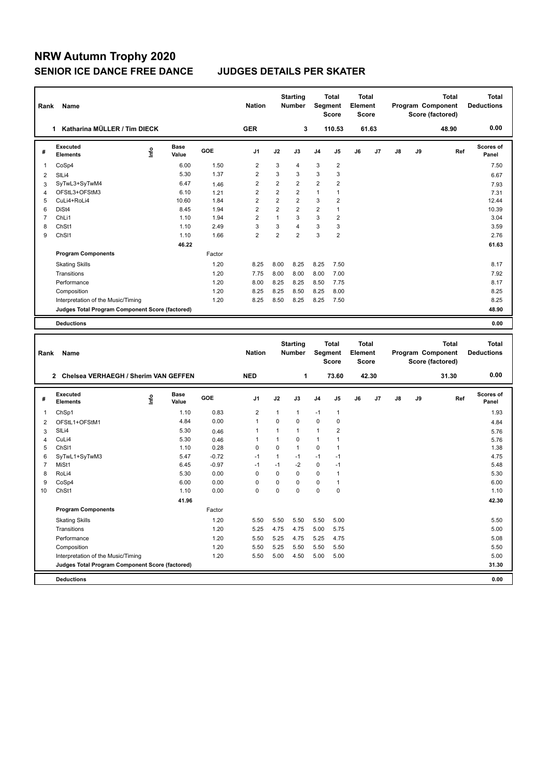## **NRW Autumn Trophy 2020 SENIOR ICE DANCE FREE DANCE JUDGES DETAILS PER SKATER**

| Rank           | Name                                            |      |                      |         | <b>Nation</b>  |                | <b>Starting</b><br><b>Number</b> | Segment     | Total<br><b>Score</b>        | Total<br>Element<br><b>Score</b>        |       |    |    | <b>Total</b><br>Program Component<br>Score (factored) | <b>Total</b><br><b>Deductions</b> |
|----------------|-------------------------------------------------|------|----------------------|---------|----------------|----------------|----------------------------------|-------------|------------------------------|-----------------------------------------|-------|----|----|-------------------------------------------------------|-----------------------------------|
|                | 1 Katharina MÜLLER / Tim DIECK                  |      |                      |         | <b>GER</b>     |                | 3                                |             | 110.53                       |                                         | 61.63 |    |    | 48.90                                                 | 0.00                              |
| #              | <b>Executed</b><br><b>Elements</b>              | lnfo | <b>Base</b><br>Value | GOE     | J <sub>1</sub> | J2             | J3                               | J4          | J5                           | J6                                      | J7    | J8 | J9 | Ref                                                   | Scores of<br>Panel                |
| 1              | CoSp4                                           |      | 6.00                 | 1.50    | $\overline{2}$ | 3              | $\overline{4}$                   | 3           | $\overline{\mathbf{c}}$      |                                         |       |    |    |                                                       | 7.50                              |
| 2              | SILi4                                           |      | 5.30                 | 1.37    | $\overline{2}$ | 3              | 3                                | 3           | 3                            |                                         |       |    |    |                                                       | 6.67                              |
| 3              | SyTwL3+SyTwM4                                   |      | 6.47                 | 1.46    | $\overline{2}$ | $\overline{2}$ | $\overline{2}$                   | 2           | $\overline{2}$               |                                         |       |    |    |                                                       | 7.93                              |
| 4              | OFStL3+OFStM3                                   |      | 6.10                 | 1.21    | $\overline{2}$ | $\overline{2}$ | $\overline{2}$                   | 1           | 1                            |                                         |       |    |    |                                                       | 7.31                              |
| 5              | CuLi4+RoLi4                                     |      | 10.60                | 1.84    | $\overline{2}$ | $\overline{2}$ | $\overline{2}$                   | 3           | $\overline{2}$               |                                         |       |    |    |                                                       | 12.44                             |
| 6              | DiSt4                                           |      | 8.45                 | 1.94    | $\overline{2}$ | $\overline{2}$ | $\overline{2}$                   | 2           | $\mathbf{1}$                 |                                         |       |    |    |                                                       | 10.39                             |
| $\overline{7}$ | ChL <sub>i1</sub>                               |      | 1.10                 | 1.94    | $\overline{2}$ | $\mathbf{1}$   | 3                                | 3           | $\overline{2}$               |                                         |       |    |    |                                                       | 3.04                              |
| 8              | ChSt1                                           |      | 1.10                 | 2.49    | 3              | 3              | $\overline{4}$                   | 3           | 3                            |                                         |       |    |    |                                                       | 3.59                              |
| 9              | ChS <sub>11</sub>                               |      | 1.10                 | 1.66    | $\overline{2}$ | $\overline{2}$ | $\overline{2}$                   | 3           | $\overline{2}$               |                                         |       |    |    |                                                       | 2.76                              |
|                |                                                 |      | 46.22                |         |                |                |                                  |             |                              |                                         |       |    |    |                                                       | 61.63                             |
|                | <b>Program Components</b>                       |      |                      | Factor  |                |                |                                  |             |                              |                                         |       |    |    |                                                       |                                   |
|                | <b>Skating Skills</b>                           |      |                      | 1.20    | 8.25           | 8.00           | 8.25                             | 8.25        | 7.50                         |                                         |       |    |    |                                                       | 8.17                              |
|                | Transitions                                     |      |                      | 1.20    | 7.75           | 8.00           | 8.00                             | 8.00        | 7.00                         |                                         |       |    |    |                                                       | 7.92                              |
|                | Performance                                     |      |                      | 1.20    | 8.00           | 8.25           | 8.25                             | 8.50        | 7.75                         |                                         |       |    |    |                                                       | 8.17                              |
|                | Composition                                     |      |                      | 1.20    | 8.25           | 8.25           | 8.50                             | 8.25        | 8.00                         |                                         |       |    |    |                                                       | 8.25                              |
|                | Interpretation of the Music/Timing              |      |                      | 1.20    | 8.25           | 8.50           | 8.25                             | 8.25        | 7.50                         |                                         |       |    |    |                                                       | 8.25                              |
|                | Judges Total Program Component Score (factored) |      |                      |         |                |                |                                  |             |                              |                                         |       |    |    |                                                       | 48.90                             |
|                | <b>Deductions</b>                               |      |                      |         |                |                |                                  |             |                              |                                         |       |    |    |                                                       | 0.00                              |
|                |                                                 |      |                      |         |                |                |                                  |             |                              |                                         |       |    |    |                                                       |                                   |
|                |                                                 |      |                      |         |                |                |                                  |             |                              |                                         |       |    |    |                                                       |                                   |
| Rank           | Name                                            |      |                      |         | <b>Nation</b>  |                | <b>Starting</b><br>Number        | Segment     | <b>Total</b><br><b>Score</b> | <b>Total</b><br>Element<br><b>Score</b> |       |    |    | <b>Total</b><br>Program Component<br>Score (factored) | <b>Total</b><br><b>Deductions</b> |
|                | 2 Chelsea VERHAEGH / Sherim VAN GEFFEN          |      |                      |         | <b>NED</b>     |                | $\mathbf{1}$                     |             | 73.60                        |                                         | 42.30 |    |    | 31.30                                                 | 0.00                              |
|                |                                                 |      |                      |         |                |                |                                  |             |                              |                                         |       |    |    |                                                       |                                   |
| #              | <b>Executed</b><br><b>Elements</b>              | ١nfo | Base<br>Value        | GOE     | J <sub>1</sub> | J2             | J3                               | J4          | J5                           | J6                                      | J7    | J8 | J9 | Ref                                                   | <b>Scores of</b><br>Panel         |
| 1              | ChSp1                                           |      | 1.10                 | 0.83    | $\overline{2}$ | $\mathbf{1}$   | $\mathbf{1}$                     | $-1$        | $\mathbf{1}$                 |                                         |       |    |    |                                                       | 1.93                              |
| 2              | OFStL1+OFStM1                                   |      | 4.84                 | 0.00    | $\mathbf{1}$   | 0              | $\mathbf 0$                      | $\mathbf 0$ | 0                            |                                         |       |    |    |                                                       | 4.84                              |
| 3              | SILi4                                           |      | 5.30                 | 0.46    | 1              | $\mathbf{1}$   | $\mathbf{1}$                     | 1           | $\overline{2}$               |                                         |       |    |    |                                                       | 5.76                              |
| 4              | CuLi4                                           |      | 5.30                 | 0.46    | 1              | $\mathbf{1}$   | $\mathbf 0$                      | 1           | $\mathbf{1}$                 |                                         |       |    |    |                                                       | 5.76                              |
| 5              | ChS <sub>11</sub>                               |      | 1.10                 | 0.28    | 0              | $\mathbf 0$    | $\mathbf{1}$                     | $\mathbf 0$ | 1                            |                                         |       |    |    |                                                       | 1.38                              |
| 6              | SyTwL1+SyTwM3                                   |      | 5.47                 | $-0.72$ | $-1$           | $\mathbf{1}$   | $-1$                             | $-1$        | $-1$                         |                                         |       |    |    |                                                       | 4.75                              |
| $\overline{7}$ | MiSt1                                           |      | 6.45                 | $-0.97$ | $-1$           | $-1$           | $-2$                             | $\mathbf 0$ | $-1$                         |                                         |       |    |    |                                                       | 5.48                              |
| 8              | RoLi4                                           |      | 5.30                 | 0.00    | 0              | 0              | $\mathbf 0$                      | 0           | $\mathbf{1}$                 |                                         |       |    |    |                                                       | 5.30                              |
| 9              | CoSp4                                           |      | 6.00                 | 0.00    | 0              | 0              | $\mathbf 0$                      | 0           | $\mathbf{1}$                 |                                         |       |    |    |                                                       | 6.00                              |
| 10             | ChSt1                                           |      | 1.10                 | 0.00    | 0              | 0              | $\mathbf 0$                      | 0           | $\mathbf 0$                  |                                         |       |    |    |                                                       | 1.10                              |
|                |                                                 |      | 41.96                |         |                |                |                                  |             |                              |                                         |       |    |    |                                                       | 42.30                             |
|                | <b>Program Components</b>                       |      |                      | Factor  |                |                |                                  |             |                              |                                         |       |    |    |                                                       |                                   |
|                | <b>Skating Skills</b>                           |      |                      | 1.20    | 5.50           | 5.50           | 5.50                             | 5.50        | 5.00                         |                                         |       |    |    |                                                       | 5.50                              |
|                | Transitions                                     |      |                      | 1.20    | 5.25           | 4.75           | 4.75                             | 5.00        | 5.75                         |                                         |       |    |    |                                                       | 5.00                              |
|                | Performance                                     |      |                      | 1.20    | 5.50           | 5.25           | 4.75                             | 5.25        | 4.75                         |                                         |       |    |    |                                                       | 5.08                              |
|                | Composition                                     |      |                      | 1.20    | 5.50           | 5.25           | 5.50                             | 5.50        | 5.50                         |                                         |       |    |    |                                                       | 5.50                              |
|                | Interpretation of the Music/Timing              |      |                      | 1.20    | 5.50           | 5.00           | 4.50                             | 5.00        | 5.00                         |                                         |       |    |    |                                                       | 5.00                              |
|                | Judges Total Program Component Score (factored) |      |                      |         |                |                |                                  |             |                              |                                         |       |    |    |                                                       | 31.30                             |
|                | <b>Deductions</b>                               |      |                      |         |                |                |                                  |             |                              |                                         |       |    |    |                                                       | 0.00                              |